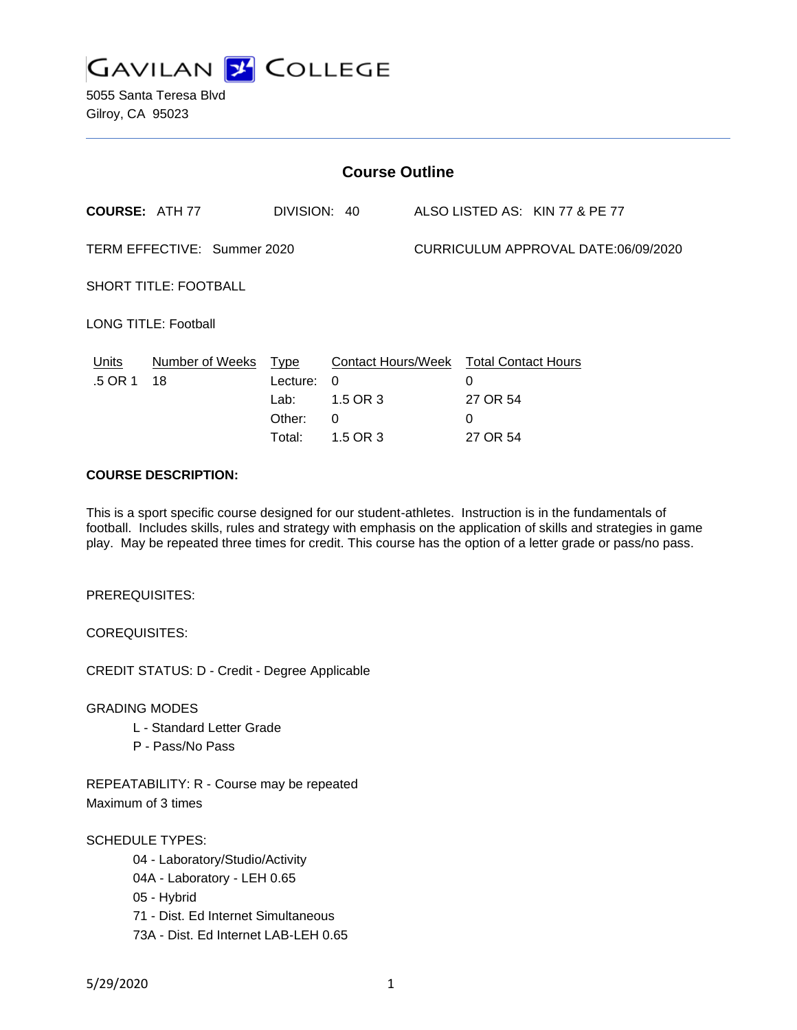

| <b>Course Outline</b>        |                      |              |                                        |                                     |          |                                |
|------------------------------|----------------------|--------------|----------------------------------------|-------------------------------------|----------|--------------------------------|
| <b>COURSE: ATH 77</b>        |                      | DIVISION: 40 |                                        |                                     |          | ALSO LISTED AS: KIN 77 & PE 77 |
| TERM EFFECTIVE: Summer 2020  |                      |              |                                        | CURRICULUM APPROVAL DATE:06/09/2020 |          |                                |
| <b>SHORT TITLE: FOOTBALL</b> |                      |              |                                        |                                     |          |                                |
| <b>LONG TITLE: Football</b>  |                      |              |                                        |                                     |          |                                |
| Units                        | Number of Weeks Type |              | Contact Hours/Week Total Contact Hours |                                     |          |                                |
| .5 OR 1                      | 18                   | Lecture:     | $\Omega$                               |                                     | $\Omega$ |                                |
|                              |                      | Lab:         | 1.5 OR 3                               |                                     | 27 OR 54 |                                |
|                              |                      | Other:       | 0                                      |                                     | 0        |                                |
|                              |                      | Total:       | 1.5 OR 3                               |                                     | 27 OR 54 |                                |
|                              |                      |              |                                        |                                     |          |                                |

# **COURSE DESCRIPTION:**

This is a sport specific course designed for our student-athletes. Instruction is in the fundamentals of football. Includes skills, rules and strategy with emphasis on the application of skills and strategies in game play. May be repeated three times for credit. This course has the option of a letter grade or pass/no pass.

PREREQUISITES:

COREQUISITES:

CREDIT STATUS: D - Credit - Degree Applicable

GRADING MODES

- L Standard Letter Grade
- P Pass/No Pass

REPEATABILITY: R - Course may be repeated Maximum of 3 times

SCHEDULE TYPES:

04 - Laboratory/Studio/Activity 04A - Laboratory - LEH 0.65 05 - Hybrid 71 - Dist. Ed Internet Simultaneous 73A - Dist. Ed Internet LAB-LEH 0.65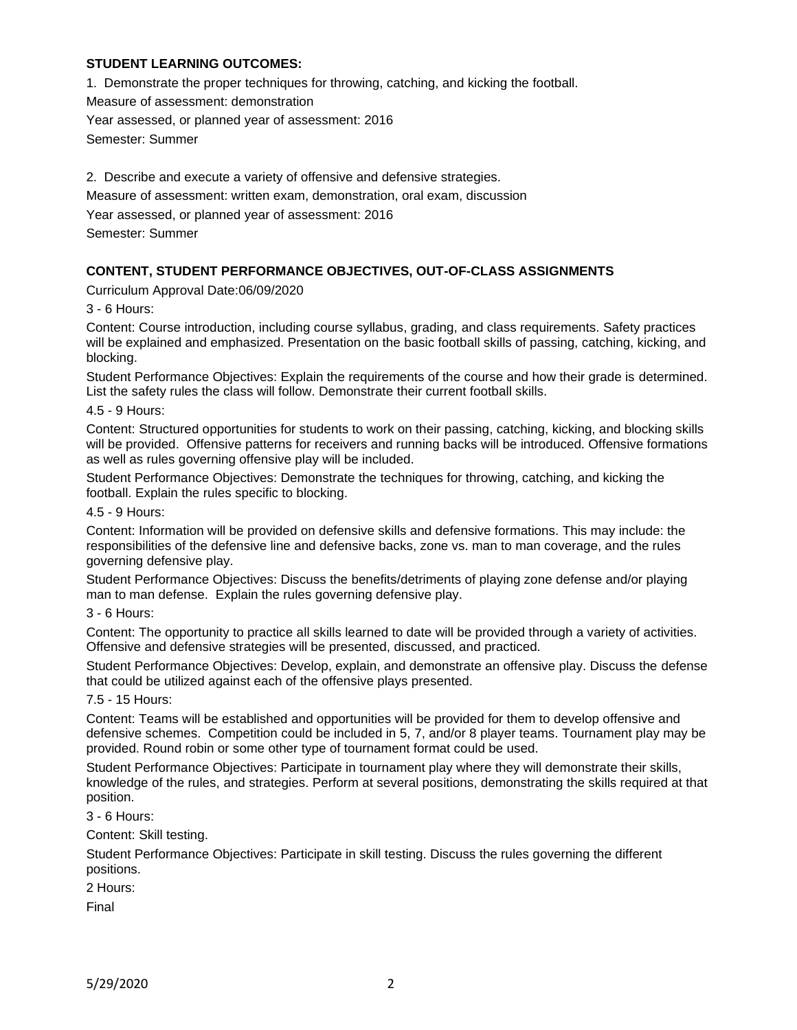### **STUDENT LEARNING OUTCOMES:**

1. Demonstrate the proper techniques for throwing, catching, and kicking the football.

Measure of assessment: demonstration

Year assessed, or planned year of assessment: 2016

Semester: Summer

2. Describe and execute a variety of offensive and defensive strategies. Measure of assessment: written exam, demonstration, oral exam, discussion Year assessed, or planned year of assessment: 2016 Semester: Summer

# **CONTENT, STUDENT PERFORMANCE OBJECTIVES, OUT-OF-CLASS ASSIGNMENTS**

Curriculum Approval Date:06/09/2020

3 - 6 Hours:

Content: Course introduction, including course syllabus, grading, and class requirements. Safety practices will be explained and emphasized. Presentation on the basic football skills of passing, catching, kicking, and blocking.

Student Performance Objectives: Explain the requirements of the course and how their grade is determined. List the safety rules the class will follow. Demonstrate their current football skills.

4.5 - 9 Hours:

Content: Structured opportunities for students to work on their passing, catching, kicking, and blocking skills will be provided. Offensive patterns for receivers and running backs will be introduced. Offensive formations as well as rules governing offensive play will be included.

Student Performance Objectives: Demonstrate the techniques for throwing, catching, and kicking the football. Explain the rules specific to blocking.

4.5 - 9 Hours:

Content: Information will be provided on defensive skills and defensive formations. This may include: the responsibilities of the defensive line and defensive backs, zone vs. man to man coverage, and the rules governing defensive play.

Student Performance Objectives: Discuss the benefits/detriments of playing zone defense and/or playing man to man defense. Explain the rules governing defensive play.

3 - 6 Hours:

Content: The opportunity to practice all skills learned to date will be provided through a variety of activities. Offensive and defensive strategies will be presented, discussed, and practiced.

Student Performance Objectives: Develop, explain, and demonstrate an offensive play. Discuss the defense that could be utilized against each of the offensive plays presented.

#### 7.5 - 15 Hours:

Content: Teams will be established and opportunities will be provided for them to develop offensive and defensive schemes. Competition could be included in 5, 7, and/or 8 player teams. Tournament play may be provided. Round robin or some other type of tournament format could be used.

Student Performance Objectives: Participate in tournament play where they will demonstrate their skills, knowledge of the rules, and strategies. Perform at several positions, demonstrating the skills required at that position.

3 - 6 Hours:

Content: Skill testing.

Student Performance Objectives: Participate in skill testing. Discuss the rules governing the different positions.

2 Hours:

Final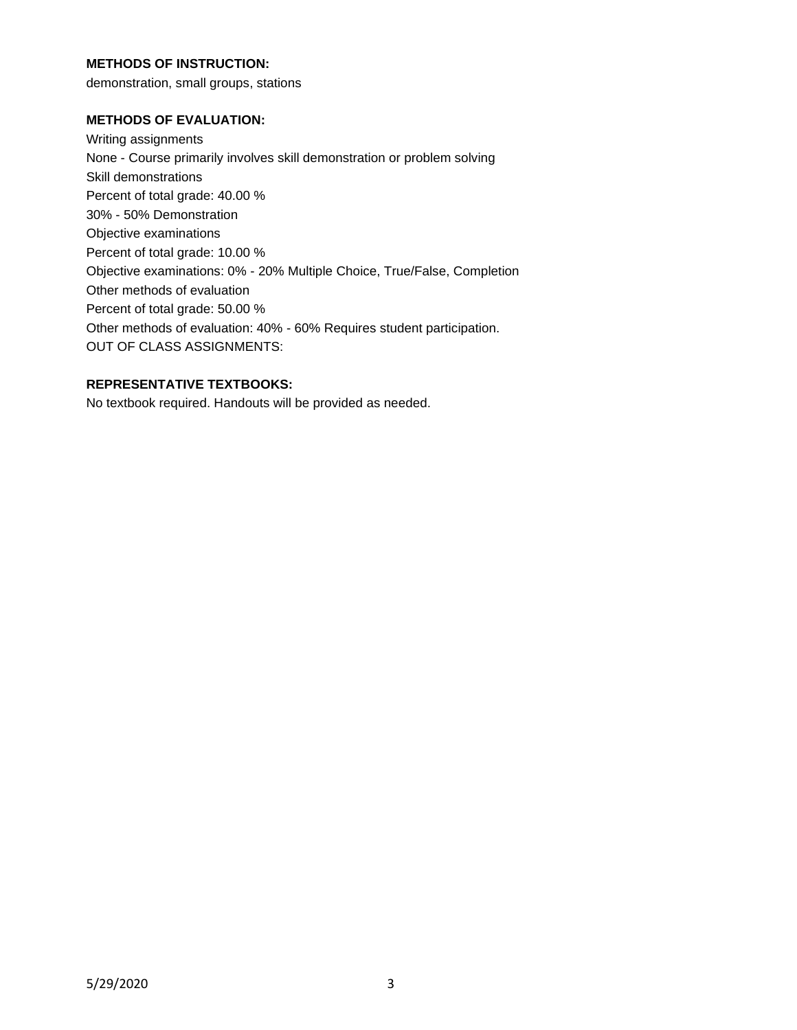## **METHODS OF INSTRUCTION:**

demonstration, small groups, stations

### **METHODS OF EVALUATION:**

Writing assignments None - Course primarily involves skill demonstration or problem solving Skill demonstrations Percent of total grade: 40.00 % 30% - 50% Demonstration Objective examinations Percent of total grade: 10.00 % Objective examinations: 0% - 20% Multiple Choice, True/False, Completion Other methods of evaluation Percent of total grade: 50.00 % Other methods of evaluation: 40% - 60% Requires student participation. OUT OF CLASS ASSIGNMENTS:

# **REPRESENTATIVE TEXTBOOKS:**

No textbook required. Handouts will be provided as needed.